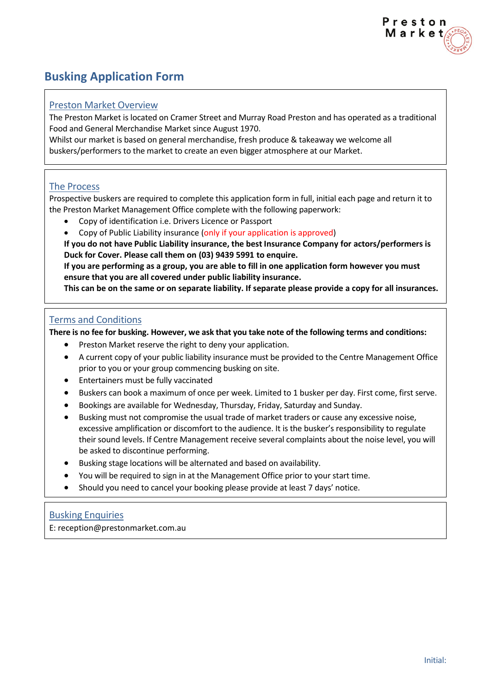# **Busking Application Form**

### Preston Market Overview

The Preston Market is located on Cramer Street and Murray Road Preston and has operated as a traditional Food and General Merchandise Market since August 1970.

Whilst our market is based on general merchandise, fresh produce & takeaway we welcome all buskers/performers to the market to create an even bigger atmosphere at our Market.

#### The Process

Prospective buskers are required to complete this application form in full, initial each page and return it to the Preston Market Management Office complete with the following paperwork:

- Copy of identification i.e. Drivers Licence or Passport
- Copy of Public Liability insurance (only if your application is approved)

**If you do not have Public Liability insurance, the best Insurance Company for actors/performers is Duck for Cover. Please call them on (03) 9439 5991 to enquire.**

**If you are performing as a group, you are able to fill in one application form however you must ensure that you are all covered under public liability insurance.**

**This can be on the same or on separate liability. If separate please provide a copy for all insurances.**

#### Terms and Conditions

**There is no fee for busking. However, we ask that you take note of the following terms and conditions:**

- Preston Market reserve the right to deny your application.
- A current copy of your public liability insurance must be provided to the Centre Management Office prior to you or your group commencing busking on site.
- Entertainers must be fully vaccinated
- Buskers can book a maximum of once per week. Limited to 1 busker per day. First come, first serve.
- Bookings are available for Wednesday, Thursday, Friday, Saturday and Sunday.
- Busking must not compromise the usual trade of market traders or cause any excessive noise, excessive amplification or discomfort to the audience. It is the busker's responsibility to regulate their sound levels. If Centre Management receive several complaints about the noise level, you will be asked to discontinue performing.
- Busking stage locations will be alternated and based on availability.
- You will be required to sign in at the Management Office prior to your start time.
- Should you need to cancel your booking please provide at least 7 days' notice.

### Busking Enquiries

E: reception@prestonmarket.com.au